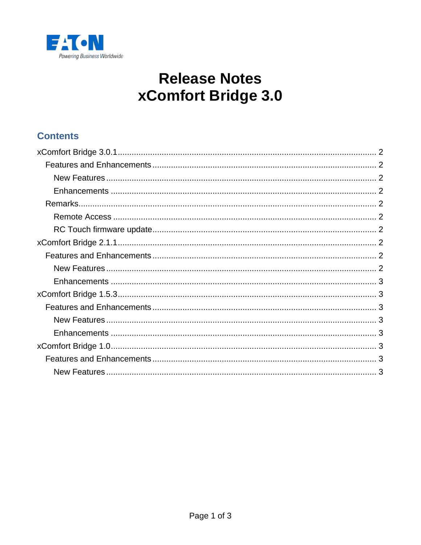

# **Release Notes** xComfort Bridge 3.0

# **Contents**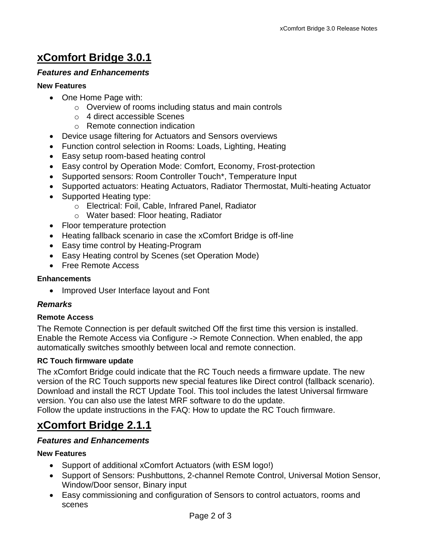# <span id="page-1-0"></span>**xComfort Bridge 3.0.1**

# <span id="page-1-1"></span>*Features and Enhancements*

#### <span id="page-1-2"></span>**New Features**

- One Home Page with:
	- o Overview of rooms including status and main controls
	- o 4 direct accessible Scenes
	- o Remote connection indication
- Device usage filtering for Actuators and Sensors overviews
- Function control selection in Rooms: Loads, Lighting, Heating
- Easy setup room-based heating control
- Easy control by Operation Mode: Comfort, Economy, Frost-protection
- Supported sensors: Room Controller Touch\*, Temperature Input
- Supported actuators: Heating Actuators, Radiator Thermostat, Multi-heating Actuator
- Supported Heating type:
	- o Electrical: Foil, Cable, Infrared Panel, Radiator
	- o Water based: Floor heating, Radiator
- Floor temperature protection
- Heating fallback scenario in case the xComfort Bridge is off-line
- Easy time control by Heating-Program
- Easy Heating control by Scenes (set Operation Mode)
- Free Remote Access

# <span id="page-1-3"></span>**Enhancements**

• Improved User Interface layout and Font

# <span id="page-1-4"></span>*Remarks*

# <span id="page-1-5"></span>**Remote Access**

The Remote Connection is per default switched Off the first time this version is installed. Enable the Remote Access via Configure -> Remote Connection. When enabled, the app automatically switches smoothly between local and remote connection.

# <span id="page-1-6"></span>**RC Touch firmware update**

The xComfort Bridge could indicate that the RC Touch needs a firmware update. The new version of the RC Touch supports new special features like Direct control (fallback scenario). Download and install the RCT Update Tool. This tool includes the latest Universal firmware version. You can also use the latest MRF software to do the update.

Follow the update instructions in the FAQ: How to update the RC Touch firmware.

# <span id="page-1-7"></span>**xComfort Bridge 2.1.1**

# <span id="page-1-8"></span>*Features and Enhancements*

# <span id="page-1-9"></span>**New Features**

- Support of additional xComfort Actuators (with ESM logo!)
- Support of Sensors: Pushbuttons, 2-channel Remote Control, Universal Motion Sensor, Window/Door sensor, Binary input
- Easy commissioning and configuration of Sensors to control actuators, rooms and scenes